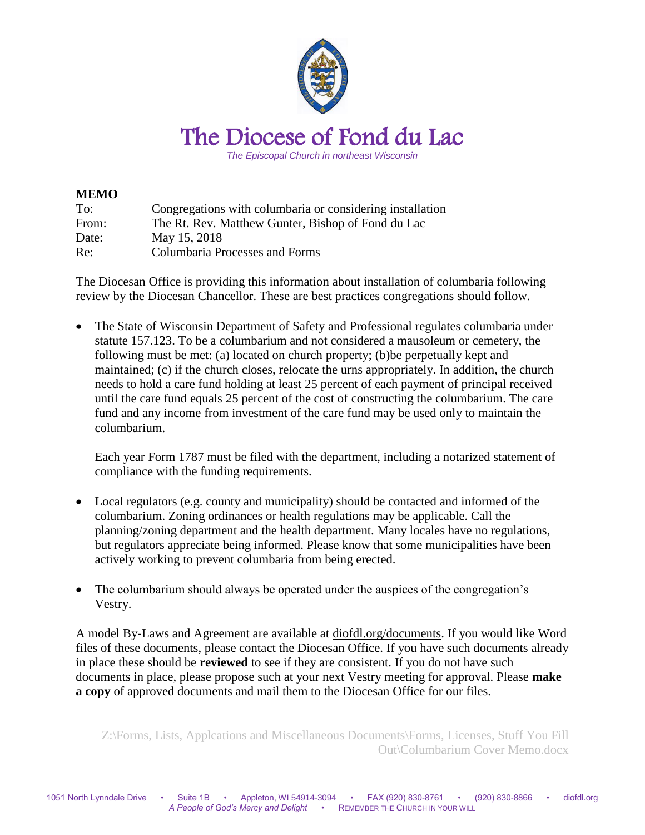

# The Diocese of Fond du Lac

*The Episcopal Church in northeast Wisconsin*

#### **MEMO**

| To:   | Congregations with columbaria or considering installation |
|-------|-----------------------------------------------------------|
| From: | The Rt. Rev. Matthew Gunter, Bishop of Fond du Lac        |
| Date: | May 15, 2018                                              |
| Re:   | <b>Columbaria Processes and Forms</b>                     |

The Diocesan Office is providing this information about installation of columbaria following review by the Diocesan Chancellor. These are best practices congregations should follow.

• The State of Wisconsin Department of Safety and Professional regulates columbaria under statute 157.123. To be a columbarium and not considered a mausoleum or cemetery, the following must be met: (a) located on church property; (b)be perpetually kept and maintained; (c) if the church closes, relocate the urns appropriately. In addition, the church needs to hold a care fund holding at least 25 percent of each payment of principal received until the care fund equals 25 percent of the cost of constructing the columbarium. The care fund and any income from investment of the care fund may be used only to maintain the columbarium.

Each year Form 1787 must be filed with the department, including a notarized statement of compliance with the funding requirements.

- Local regulators (e.g. county and municipality) should be contacted and informed of the columbarium. Zoning ordinances or health regulations may be applicable. Call the planning/zoning department and the health department. Many locales have no regulations, but regulators appreciate being informed. Please know that some municipalities have been actively working to prevent columbaria from being erected.
- The columbarium should always be operated under the auspices of the congregation's Vestry.

A model By-Laws and Agreement are available at diofdl.org/documents. If you would like Word files of these documents, please contact the Diocesan Office. If you have such documents already in place these should be **reviewed** to see if they are consistent. If you do not have such documents in place, please propose such at your next Vestry meeting for approval. Please **make a copy** of approved documents and mail them to the Diocesan Office for our files.

Z:\Forms, Lists, Applcations and Miscellaneous Documents\Forms, Licenses, Stuff You Fill Out\Columbarium Cover Memo.docx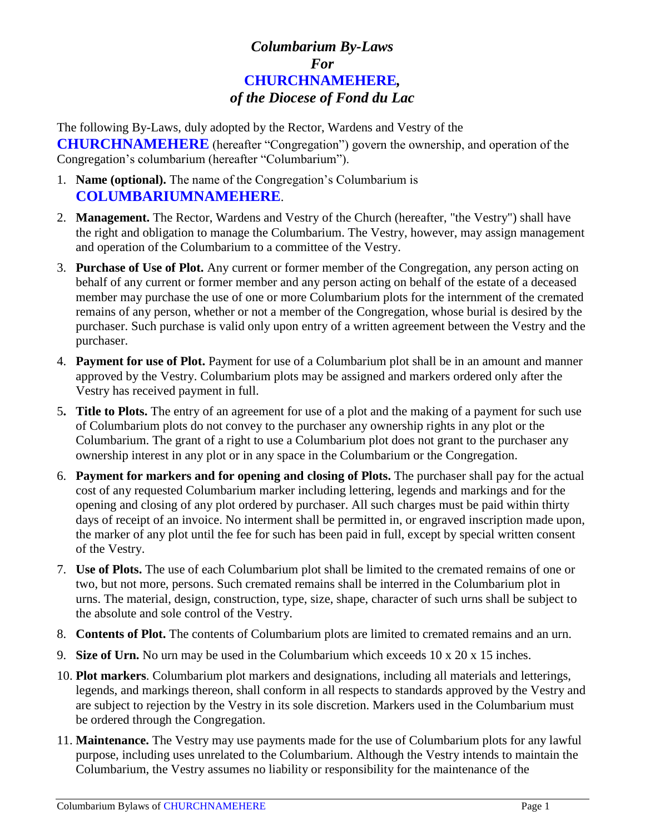## *Columbarium By-Laws For* **CHURCHNAMEHERE***, of the Diocese of Fond du Lac*

The following By-Laws, duly adopted by the Rector, Wardens and Vestry of the **CHURCHNAMEHERE** (hereafter "Congregation") govern the ownership, and operation of the Congregation's columbarium (hereafter "Columbarium").

- 1. **Name (optional).** The name of the Congregation's Columbarium is **COLUMBARIUMNAMEHERE**.
- 2. **Management.** The Rector, Wardens and Vestry of the Church (hereafter, "the Vestry") shall have the right and obligation to manage the Columbarium. The Vestry, however, may assign management and operation of the Columbarium to a committee of the Vestry.
- 3. **Purchase of Use of Plot.** Any current or former member of the Congregation, any person acting on behalf of any current or former member and any person acting on behalf of the estate of a deceased member may purchase the use of one or more Columbarium plots for the internment of the cremated remains of any person, whether or not a member of the Congregation, whose burial is desired by the purchaser. Such purchase is valid only upon entry of a written agreement between the Vestry and the purchaser.
- 4. **Payment for use of Plot.** Payment for use of a Columbarium plot shall be in an amount and manner approved by the Vestry. Columbarium plots may be assigned and markers ordered only after the Vestry has received payment in full.
- 5**. Title to Plots.** The entry of an agreement for use of a plot and the making of a payment for such use of Columbarium plots do not convey to the purchaser any ownership rights in any plot or the Columbarium. The grant of a right to use a Columbarium plot does not grant to the purchaser any ownership interest in any plot or in any space in the Columbarium or the Congregation.
- 6. **Payment for markers and for opening and closing of Plots.** The purchaser shall pay for the actual cost of any requested Columbarium marker including lettering, legends and markings and for the opening and closing of any plot ordered by purchaser. All such charges must be paid within thirty days of receipt of an invoice. No interment shall be permitted in, or engraved inscription made upon, the marker of any plot until the fee for such has been paid in full, except by special written consent of the Vestry.
- 7. **Use of Plots.** The use of each Columbarium plot shall be limited to the cremated remains of one or two, but not more, persons. Such cremated remains shall be interred in the Columbarium plot in urns. The material, design, construction, type, size, shape, character of such urns shall be subject to the absolute and sole control of the Vestry.
- 8. **Contents of Plot.** The contents of Columbarium plots are limited to cremated remains and an urn.
- 9. **Size of Urn.** No urn may be used in the Columbarium which exceeds 10 x 20 x 15 inches.
- 10. **Plot markers**. Columbarium plot markers and designations, including all materials and letterings, legends, and markings thereon, shall conform in all respects to standards approved by the Vestry and are subject to rejection by the Vestry in its sole discretion. Markers used in the Columbarium must be ordered through the Congregation.
- 11. **Maintenance.** The Vestry may use payments made for the use of Columbarium plots for any lawful purpose, including uses unrelated to the Columbarium. Although the Vestry intends to maintain the Columbarium, the Vestry assumes no liability or responsibility for the maintenance of the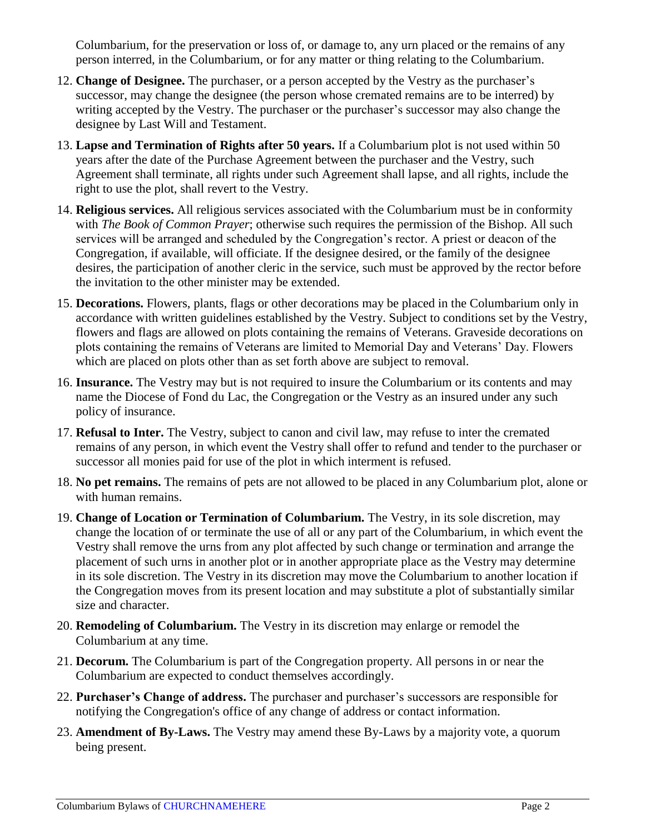Columbarium, for the preservation or loss of, or damage to, any urn placed or the remains of any person interred, in the Columbarium, or for any matter or thing relating to the Columbarium.

- 12. **Change of Designee.** The purchaser, or a person accepted by the Vestry as the purchaser's successor, may change the designee (the person whose cremated remains are to be interred) by writing accepted by the Vestry. The purchaser or the purchaser's successor may also change the designee by Last Will and Testament.
- 13. **Lapse and Termination of Rights after 50 years.** If a Columbarium plot is not used within 50 years after the date of the Purchase Agreement between the purchaser and the Vestry, such Agreement shall terminate, all rights under such Agreement shall lapse, and all rights, include the right to use the plot, shall revert to the Vestry.
- 14. **Religious services.** All religious services associated with the Columbarium must be in conformity with *The Book of Common Prayer*; otherwise such requires the permission of the Bishop. All such services will be arranged and scheduled by the Congregation's rector. A priest or deacon of the Congregation, if available, will officiate. If the designee desired, or the family of the designee desires, the participation of another cleric in the service, such must be approved by the rector before the invitation to the other minister may be extended.
- 15. **Decorations.** Flowers, plants, flags or other decorations may be placed in the Columbarium only in accordance with written guidelines established by the Vestry. Subject to conditions set by the Vestry, flowers and flags are allowed on plots containing the remains of Veterans. Graveside decorations on plots containing the remains of Veterans are limited to Memorial Day and Veterans' Day. Flowers which are placed on plots other than as set forth above are subject to removal.
- 16. **Insurance.** The Vestry may but is not required to insure the Columbarium or its contents and may name the Diocese of Fond du Lac, the Congregation or the Vestry as an insured under any such policy of insurance.
- 17. **Refusal to Inter.** The Vestry, subject to canon and civil law, may refuse to inter the cremated remains of any person, in which event the Vestry shall offer to refund and tender to the purchaser or successor all monies paid for use of the plot in which interment is refused.
- 18. **No pet remains.** The remains of pets are not allowed to be placed in any Columbarium plot, alone or with human remains.
- 19. **Change of Location or Termination of Columbarium.** The Vestry, in its sole discretion, may change the location of or terminate the use of all or any part of the Columbarium, in which event the Vestry shall remove the urns from any plot affected by such change or termination and arrange the placement of such urns in another plot or in another appropriate place as the Vestry may determine in its sole discretion. The Vestry in its discretion may move the Columbarium to another location if the Congregation moves from its present location and may substitute a plot of substantially similar size and character.
- 20. **Remodeling of Columbarium.** The Vestry in its discretion may enlarge or remodel the Columbarium at any time.
- 21. **Decorum.** The Columbarium is part of the Congregation property. All persons in or near the Columbarium are expected to conduct themselves accordingly.
- 22. **Purchaser's Change of address.** The purchaser and purchaser's successors are responsible for notifying the Congregation's office of any change of address or contact information.
- 23. **Amendment of By-Laws.** The Vestry may amend these By-Laws by a majority vote, a quorum being present.